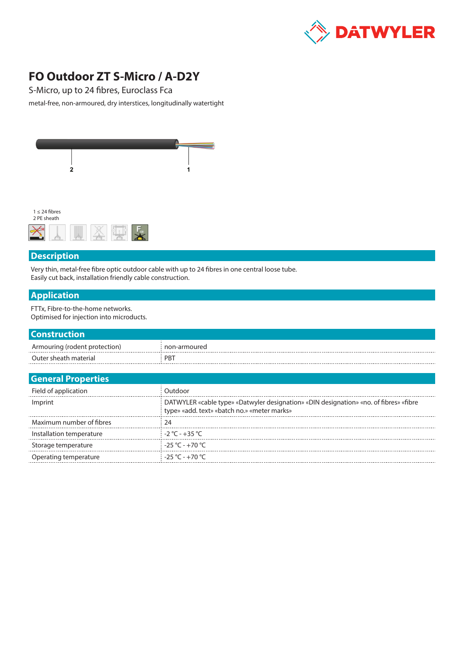

# **FO Outdoor ZT S-Micro / A-D2Y**

S-Micro, up to 24 fibres, Euroclass Fca

metal-free, non-armoured, dry interstices, longitudinally watertight



#### **Description**

Very thin, metal-free fibre optic outdoor cable with up to 24 fibres in one central loose tube. Easily cut back, installation friendly cable construction.

## **Application**

FTTx, Fibre-to-the-home networks. Optimised for injection into microducts.

| <b>Construction</b>           |              |
|-------------------------------|--------------|
| Armouring (rodent protection) | non-armoured |
| Outer sheath material         | PBT          |

| <b>General Properties</b> |                                                                                                                                      |  |  |  |  |  |  |
|---------------------------|--------------------------------------------------------------------------------------------------------------------------------------|--|--|--|--|--|--|
| Field of application      | Nutdoor                                                                                                                              |  |  |  |  |  |  |
|                           | DATWYLER «cable type» «Datwyler designation» «DIN designation» «no. of fibres» «fibre<br>type» «add. text» «batch no.» «meter marks» |  |  |  |  |  |  |
| Maximum number of fibres  |                                                                                                                                      |  |  |  |  |  |  |
| Installation temperature  | $-2$ °C - $+35$ °C                                                                                                                   |  |  |  |  |  |  |
| Storage temperature       | -25 °C - +70 °C                                                                                                                      |  |  |  |  |  |  |
| Operating temperature     | -25 °C - +70 °C                                                                                                                      |  |  |  |  |  |  |
|                           |                                                                                                                                      |  |  |  |  |  |  |